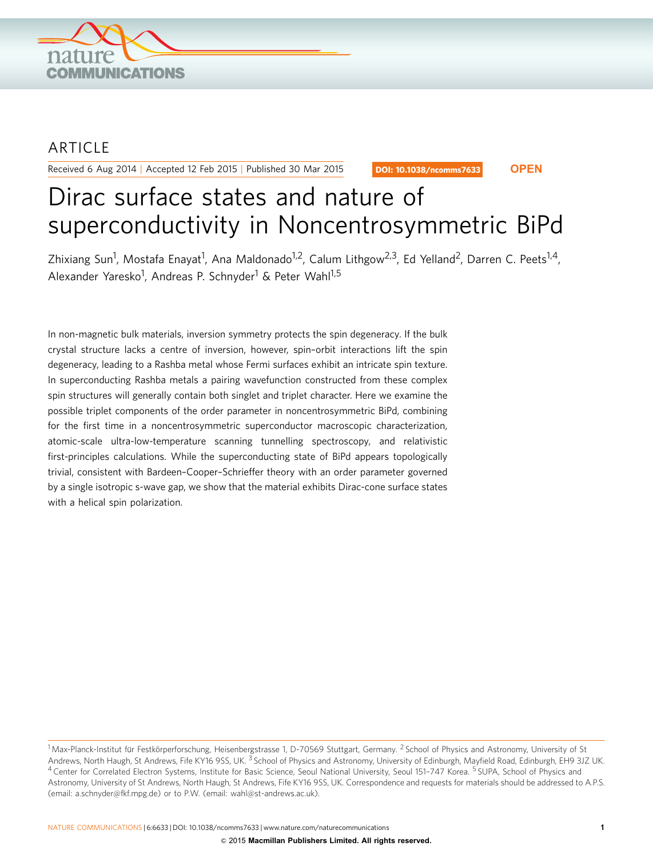

## **ARTICLE**

Received 6 Aug 2014 | Accepted 12 Feb 2015 | Published 30 Mar 2015

DOI: 10.1038/ncomms7633 **OPEN**

# Dirac surface states and nature of superconductivity in Noncentrosymmetric BiPd

Zhixiang Sun<sup>1</sup>, Mostafa Enayat<sup>1</sup>, Ana Maldonado<sup>1,2</sup>, Calum Lithgow<sup>2,3</sup>, Ed Yelland<sup>2</sup>, Darren C. Peets<sup>1,4</sup>, Alexander Yaresko<sup>1</sup>, Andreas P. Schnyder<sup>1</sup> & Peter Wahl<sup>1,5</sup>

In non-magnetic bulk materials, inversion symmetry protects the spin degeneracy. If the bulk crystal structure lacks a centre of inversion, however, spin–orbit interactions lift the spin degeneracy, leading to a Rashba metal whose Fermi surfaces exhibit an intricate spin texture. In superconducting Rashba metals a pairing wavefunction constructed from these complex spin structures will generally contain both singlet and triplet character. Here we examine the possible triplet components of the order parameter in noncentrosymmetric BiPd, combining for the first time in a noncentrosymmetric superconductor macroscopic characterization, atomic-scale ultra-low-temperature scanning tunnelling spectroscopy, and relativistic first-principles calculations. While the superconducting state of BiPd appears topologically trivial, consistent with Bardeen–Cooper–Schrieffer theory with an order parameter governed by a single isotropic s-wave gap, we show that the material exhibits Dirac-cone surface states with a helical spin polarization.

<sup>&</sup>lt;sup>1</sup> Max-Planck-Institut für Festkörperforschung, Heisenbergstrasse 1, D-70569 Stuttgart, Germany. <sup>2</sup> School of Physics and Astronomy, University of St Andrews, North Haugh, St Andrews, Fife KY16 9SS, UK.<sup>3</sup> School of Physics and Astronomy, University of Edinburgh, Mayfield Road, Edinburgh, EH9 3JZ UK. 4 Center for Correlated Electron Systems, Institute for Basic Science, Seoul National University, Seoul 151-747 Korea. <sup>5</sup> SUPA, School of Physics and Astronomy, University of St Andrews, North Haugh, St Andrews, Fife KY16 9SS, UK. Correspondence and requests for materials should be addressed to A.P.S. (email: [a.schnyder@fkf.mpg.de\)](mailto:a.schnyder@fkf.mpg.de) or to P.W. (email: [wahl@st-andrews.ac.uk\)](mailto:wahl@st-andrews.ac.uk).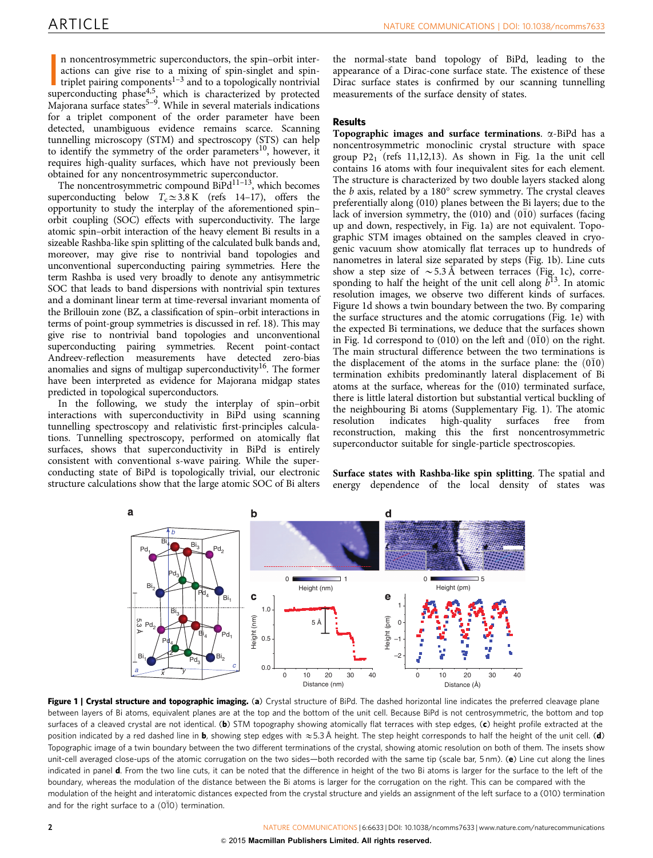<span id="page-1-0"></span>n noncentrosymmetric superconductors, the spin-orbit inter-<br>actions can give rise to a mixing of spin-singlet and spin-<br>triplet pairing components<sup>1-3</sup> and to a topologically nontrivial<br>superconducting phase<sup>4,5</sup><sub>2</sub> which n noncentrosymmetric superconductors, the spin–orbit interactions can give rise to a mixing of spin-singlet and spintriplet pairing components<sup>1-3</sup> and to a topologically nontrivial  $M_{\text{a}i}$  majorana surface states<sup>5–9</sup>. While in several materials indications for a triplet component of the order parameter have been detected, unambiguous evidence remains scarce. Scanning tunnelling microscopy (STM) and spectroscopy (STS) can help to identify the symmetry of the order parameters<sup>[10](#page-5-0)</sup>, however, it requires high-quality surfaces, which have not previously been obtained for any noncentrosymmetric superconductor.

The noncentrosymmetric compound  $\text{BiPd}^{11-13}$ , which becomes superconducting below  $T_c \approx 3.8 \text{ K}$  ([refs 14–17](#page-5-0)), offers the opportunity to study the interplay of the aforementioned spin– orbit coupling (SOC) effects with superconductivity. The large atomic spin–orbit interaction of the heavy element Bi results in a sizeable Rashba-like spin splitting of the calculated bulk bands and, moreover, may give rise to nontrivial band topologies and unconventional superconducting pairing symmetries. Here the term Rashba is used very broadly to denote any antisymmetric SOC that leads to band dispersions with nontrivial spin textures and a dominant linear term at time-reversal invariant momenta of the Brillouin zone (BZ, a classification of spin–orbit interactions in terms of point-group symmetries is discussed in [ref. 18\)](#page-5-0). This may give rise to nontrivial band topologies and unconventional superconducting pairing symmetries. Recent point-contact Andreev-reflection measurements have detected zero-bias anomalies and signs of multigap superconductivity<sup>[16](#page-5-0)</sup>. The former have been interpreted as evidence for Majorana midgap states predicted in topological superconductors.

In the following, we study the interplay of spin–orbit interactions with superconductivity in BiPd using scanning tunnelling spectroscopy and relativistic first-principles calculations. Tunnelling spectroscopy, performed on atomically flat surfaces, shows that superconductivity in BiPd is entirely consistent with conventional s-wave pairing. While the superconducting state of BiPd is topologically trivial, our electronic structure calculations show that the large atomic SOC of Bi alters the normal-state band topology of BiPd, leading to the appearance of a Dirac-cone surface state. The existence of these Dirac surface states is confirmed by our scanning tunnelling measurements of the surface density of states.

### Results

Topographic images and surface terminations.  $\alpha$ -BiPd has a noncentrosymmetric monoclinic crystal structure with space group  $P2_1$  [\(refs 11,12,13](#page-5-0)). As shown in Fig. 1a the unit cell contains 16 atoms with four inequivalent sites for each element. The structure is characterized by two double layers stacked along the  $b$  axis, related by a  $180^\circ$  screw symmetry. The crystal cleaves preferentially along (010) planes between the Bi layers; due to the lack of inversion symmetry, the (010) and (010) surfaces (facing up and down, respectively, in Fig. 1a) are not equivalent. Topographic STM images obtained on the samples cleaved in cryogenic vacuum show atomically flat terraces up to hundreds of nanometres in lateral size separated by steps (Fig. 1b). Line cuts show a step size of  $\sim$  5.3 Å between terraces (Fig. 1c), corresponding to half the height of the unit cell along  $b^{13}$ . In atomic resolution images, we observe two different kinds of surfaces. Figure 1d shows a twin boundary between the two. By comparing the surface structures and the atomic corrugations (Fig. 1e) with the expected Bi terminations, we deduce that the surfaces shown in Fig. 1d correspond to (010) on the left and (0 $10$ ) on the right. The main structural difference between the two terminations is the displacement of the atoms in the surface plane: the  $(0\bar{1}0)$ termination exhibits predominantly lateral displacement of Bi atoms at the surface, whereas for the (010) terminated surface, there is little lateral distortion but substantial vertical buckling of the neighbouring Bi atoms (Supplementary Fig. 1). The atomic resolution indicates high-quality surfaces free from reconstruction, making this the first noncentrosymmetric superconductor suitable for single-particle spectroscopies.

Surface states with Rashba-like spin splitting. The spatial and energy dependence of the local density of states was



Figure 1 | Crystal structure and topographic imaging. (a) Crystal structure of BiPd. The dashed horizontal line indicates the preferred cleavage plane between layers of Bi atoms, equivalent planes are at the top and the bottom of the unit cell. Because BiPd is not centrosymmetric, the bottom and top surfaces of a cleaved crystal are not identical. (b) STM topography showing atomically flat terraces with step edges, (c) height profile extracted at the position indicated by a red dashed line in b, showing step edges with  $\approx$  5.3 Å height. The step height corresponds to half the height of the unit cell. (d) Topographic image of a twin boundary between the two different terminations of the crystal, showing atomic resolution on both of them. The insets show unit-cell averaged close-ups of the atomic corrugation on the two sides—both recorded with the same tip (scale bar, 5 nm). (e) Line cut along the lines indicated in panel d. From the two line cuts, it can be noted that the difference in height of the two Bi atoms is larger for the surface to the left of the boundary, whereas the modulation of the distance between the Bi atoms is larger for the corrugation on the right. This can be compared with the modulation of the height and interatomic distances expected from the crystal structure and yields an assignment of the left surface to a (010) termination and for the right surface to a  $(0\bar{1}0)$  termination.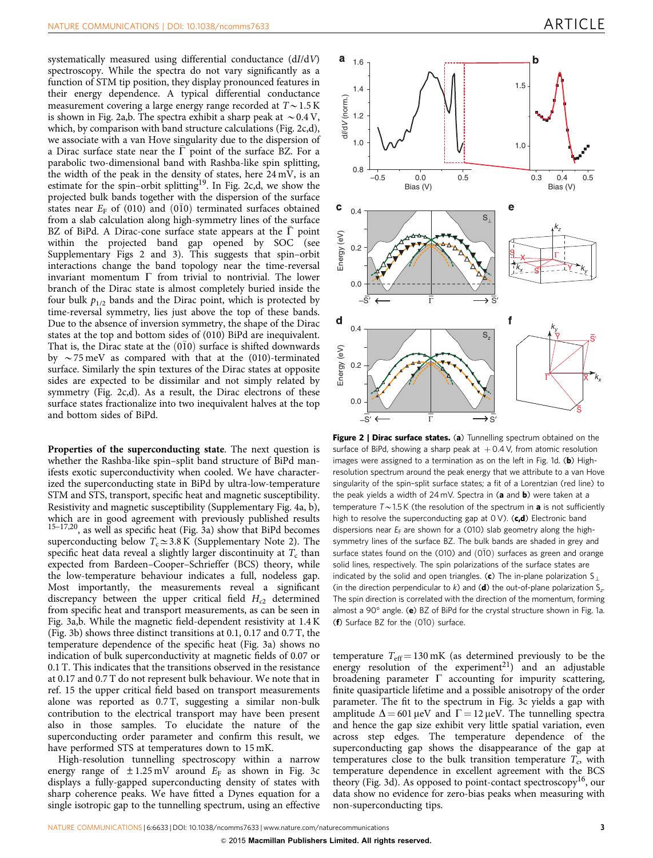<span id="page-2-0"></span>systematically measured using differential conductance (dI/dV) spectroscopy. While the spectra do not vary significantly as a function of STM tip position, they display pronounced features in their energy dependence. A typical differential conductance measurement covering a large energy range recorded at  $T \sim 1.5$  K is shown in Fig. 2a,b. The spectra exhibit a sharp peak at  $\sim 0.4$  V, which, by comparison with band structure calculations (Fig. 2c,d), we associate with a van Hove singularity due to the dispersion of a Dirac surface state near the  $\bar{\Gamma}$  point of the surface BZ. For a parabolic two-dimensional band with Rashba-like spin splitting, the width of the peak in the density of states, here 24 mV, is an estimate for the spin–orbit splitting<sup>[19](#page-5-0)</sup>. In Fig. 2c,d, we show the projected bulk bands together with the dispersion of the surface states near  $E_F$  of (010) and (010) terminated surfaces obtained from a slab calculation along high-symmetry lines of the surface BZ of BiPd. A Dirac-cone surface state appears at the  $\bar{\Gamma}$  point within the projected band gap opened by SOC (see Supplementary Figs 2 and 3). This suggests that spin–orbit interactions change the band topology near the time-reversal invariant momentum  $\Gamma$  from trivial to nontrivial. The lower branch of the Dirac state is almost completely buried inside the four bulk  $p_{1/2}$  bands and the Dirac point, which is protected by time-reversal symmetry, lies just above the top of these bands. Due to the absence of inversion symmetry, the shape of the Dirac states at the top and bottom sides of (010) BiPd are inequivalent. That is, the Dirac state at the  $(0I0)$  surface is shifted downwards by  $\sim$  75 meV as compared with that at the (010)-terminated surface. Similarly the spin textures of the Dirac states at opposite sides are expected to be dissimilar and not simply related by symmetry (Fig. 2c,d). As a result, the Dirac electrons of these surface states fractionalize into two inequivalent halves at the top and bottom sides of BiPd.

Properties of the superconducting state. The next question is whether the Rashba-like spin–split band structure of BiPd manifests exotic superconductivity when cooled. We have characterized the superconducting state in BiPd by ultra-low-temperature STM and STS, transport, specific heat and magnetic susceptibility. Resistivity and magnetic susceptibility (Supplementary Fig. 4a, b), which are in good agreement with previously published results [15–17,20,](#page-5-0) as well as specific heat ([Fig. 3a](#page-3-0)) show that BiPd becomes superconducting below  $T_c \approx 3.8 \text{ K}$  (Supplementary Note 2). The specific heat data reveal a slightly larger discontinuity at  $T_c$  than expected from Bardeen–Cooper–Schrieffer (BCS) theory, while the low-temperature behaviour indicates a full, nodeless gap. Most importantly, the measurements reveal a significant discrepancy between the upper critical field  $H_{c2}$  determined from specific heat and transport measurements, as can be seen in [Fig. 3a,b](#page-3-0). While the magnetic field-dependent resistivity at 1.4 K ([Fig. 3b](#page-3-0)) shows three distinct transitions at 0.1, 0.17 and 0.7 T, the temperature dependence of the specific heat [\(Fig. 3a](#page-3-0)) shows no indication of bulk superconductivity at magnetic fields of 0.07 or 0.1 T. This indicates that the transitions observed in the resistance at 0.17 and 0.7 T do not represent bulk behaviour. We note that in [ref. 15](#page-5-0) the upper critical field based on transport measurements alone was reported as 0.7 T, suggesting a similar non-bulk contribution to the electrical transport may have been present also in those samples. To elucidate the nature of the superconducting order parameter and confirm this result, we have performed STS at temperatures down to 15 mK.

High-resolution tunnelling spectroscopy within a narrow energy range of  $\pm 1.25$  mV around  $E_F$  as shown in [Fig. 3c](#page-3-0) displays a fully-gapped superconducting density of states with sharp coherence peaks. We have fitted a Dynes equation for a single isotropic gap to the tunnelling spectrum, using an effective



Figure 2 | Dirac surface states. (a) Tunnelling spectrum obtained on the surface of BiPd, showing a sharp peak at  $+0.4$  V, from atomic resolution images were assigned to a termination as on the left in [Fig. 1d](#page-1-0). ( $\mathbf{b}$ ) Highresolution spectrum around the peak energy that we attribute to a van Hove singularity of the spin–split surface states; a fit of a Lorentzian (red line) to the peak yields a width of  $24 \text{ mV}$ . Spectra in (a and b) were taken at a temperature  $T\sim1.5$  K (the resolution of the spectrum in **a** is not sufficiently high to resolve the superconducting gap at  $0 \vee$ ). (c,d) Electronic band dispersions near  $E_F$  are shown for a (010) slab geometry along the highsymmetry lines of the surface BZ. The bulk bands are shaded in grey and surface states found on the (010) and  $(0\bar{1}0)$  surfaces as green and orange solid lines, respectively. The spin polarizations of the surface states are indicated by the solid and open triangles. (c) The in-plane polarization  $S_{\perp}$ (in the direction perpendicular to  $k$ ) and (d) the out-of-plane polarization  $S_{z}$ . The spin direction is correlated with the direction of the momentum, forming almost a 90 $^{\circ}$  angle. (e) BZ of BiPd for the crystal structure shown in [Fig. 1a.](#page-1-0) (f) Surface BZ for the  $(0\bar{1}0)$  surface.

temperature  $T_{\text{eff}} = 130 \text{ mK}$  (as determined previously to be the energy resolution of the experiment<sup>[21](#page-5-0)</sup>) and an adjustable broadening parameter  $\Gamma$  accounting for impurity scattering, finite quasiparticle lifetime and a possible anisotropy of the order parameter. The fit to the spectrum in [Fig. 3c](#page-3-0) yields a gap with amplitude  $\Delta = 601 \,\mu\text{eV}$  and  $\Gamma = 12 \,\mu\text{eV}$ . The tunnelling spectra and hence the gap size exhibit very little spatial variation, even across step edges. The temperature dependence of the superconducting gap shows the disappearance of the gap at temperatures close to the bulk transition temperature  $T_c$ , with temperature dependence in excellent agreement with the BCS theory ([Fig. 3d\)](#page-3-0). As opposed to point-contact spectroscopy<sup>16</sup>, our data show no evidence for zero-bias peaks when measuring with non-superconducting tips.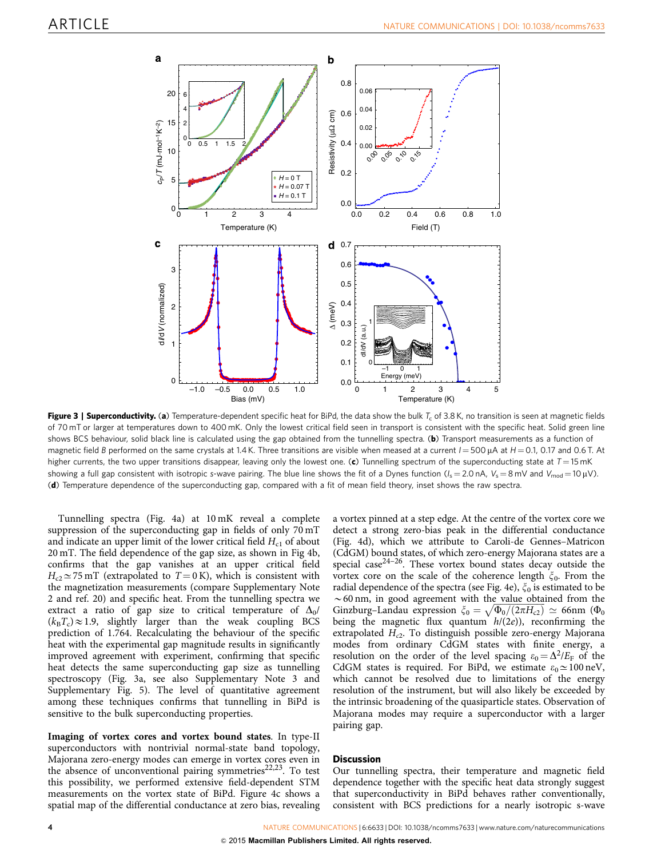<span id="page-3-0"></span>

Figure 3 | Superconductivity. (a) Temperature-dependent specific heat for BiPd, the data show the bulk  $T_c$  of 3.8 K, no transition is seen at magnetic fields of 70 mT or larger at temperatures down to 400 mK. Only the lowest critical field seen in transport is consistent with the specific heat. Solid green line shows BCS behaviour, solid black line is calculated using the gap obtained from the tunnelling spectra. (b) Transport measurements as a function of magnetic field B performed on the same crystals at 1.4 K. Three transitions are visible when meased at a current  $I = 500 \mu A$  at  $H = 0.1$ , 0.17 and 0.6 T. At higher currents, the two upper transitions disappear, leaving only the lowest one. (c) Tunnelling spectrum of the superconducting state at  $T = 15$  mK showing a full gap consistent with isotropic s-wave pairing. The blue line shows the fit of a Dynes function ( $I_s = 2.0$  nA,  $V_s = 8$  mV and  $V_{mod} = 10 \,\mu$ V). (d) Temperature dependence of the superconducting gap, compared with a fit of mean field theory, inset shows the raw spectra.

Tunnelling spectra ([Fig. 4a](#page-4-0)) at 10 mK reveal a complete suppression of the superconducting gap in fields of only 70 mT and indicate an upper limit of the lower critical field  $H_{c1}$  of about 20 mT. The field dependence of the gap size, as shown in [Fig 4b,](#page-4-0) confirms that the gap vanishes at an upper critical field  $H_{c2} \simeq 75$  mT (extrapolated to  $T = 0$  K), which is consistent with the magnetization measurements (compare Supplementary Note 2 and [ref. 20\)](#page-5-0) and specific heat. From the tunnelling spectra we extract a ratio of gap size to critical temperature of  $\Delta_0$ /  $(k_BT_c)\approx1.9$ , slightly larger than the weak coupling BCS prediction of 1.764. Recalculating the behaviour of the specific heat with the experimental gap magnitude results in significantly improved agreement with experiment, confirming that specific heat detects the same superconducting gap size as tunnelling spectroscopy (Fig. 3a, see also Supplementary Note 3 and Supplementary Fig. 5). The level of quantitative agreement among these techniques confirms that tunnelling in BiPd is sensitive to the bulk superconducting properties.

Imaging of vortex cores and vortex bound states. In type-II superconductors with nontrivial normal-state band topology, Majorana zero-energy modes can emerge in vortex cores even in the absence of unconventional pairing symmetries $22,23$ . To test this possibility, we performed extensive field-dependent STM measurements on the vortex state of BiPd. [Figure 4c](#page-4-0) shows a spatial map of the differential conductance at zero bias, revealing a vortex pinned at a step edge. At the centre of the vortex core we detect a strong zero-bias peak in the differential conductance ([Fig. 4d\)](#page-4-0), which we attribute to Caroli-de Gennes–Matricon (CdGM) bound states, of which zero-energy Majorana states are a special case<sup>[24–26](#page-5-0)</sup>. These vortex bound states decay outside the vortex core on the scale of the coherence length  $\zeta_0$ . From the radial dependence of the spectra (see [Fig. 4e\)](#page-4-0),  $\xi_0$  is estimated to be  $\sim$  60 nm, in good agreement with the value obtained from the Ginzburg–Landau expression  $\zeta_0 = \sqrt{\Phi_0/(2\pi H_{c2})} \simeq 66$ nm ( $\Phi_0$ being the magnetic flux quantum  $h/(2e)$ ), reconfirming the extrapolated  $H_{c2}$ . To distinguish possible zero-energy Majorana modes from ordinary CdGM states with finite energy, a resolution on the order of the level spacing  $\varepsilon_0 = \Delta^2/E_F$  of the CdGM states is required. For BiPd, we estimate  $\varepsilon_0 \approx 100 \text{ neV}$ , which cannot be resolved due to limitations of the energy resolution of the instrument, but will also likely be exceeded by the intrinsic broadening of the quasiparticle states. Observation of Majorana modes may require a superconductor with a larger pairing gap.

### **Discussion**

Our tunnelling spectra, their temperature and magnetic field dependence together with the specific heat data strongly suggest that superconductivity in BiPd behaves rather conventionally, consistent with BCS predictions for a nearly isotropic s-wave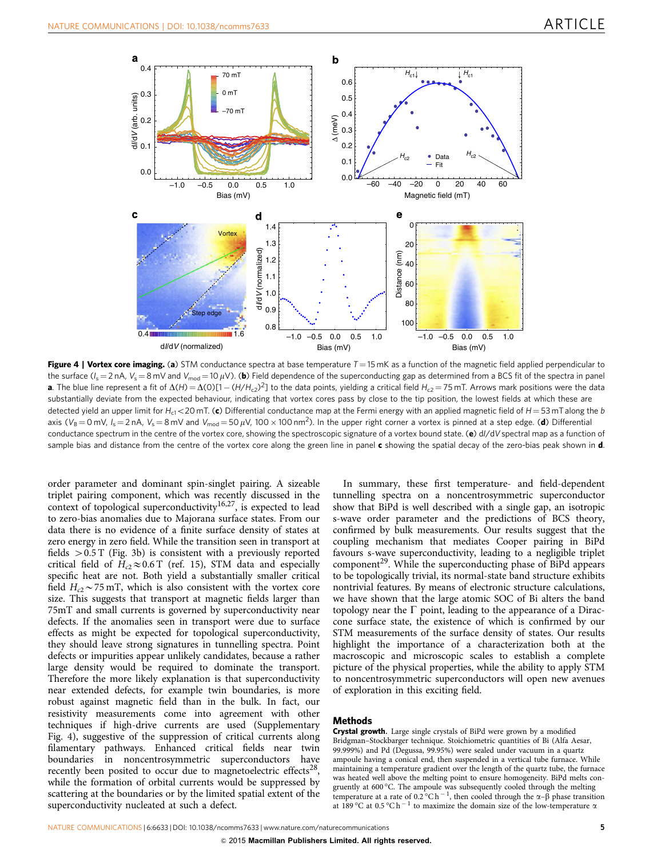<span id="page-4-0"></span>

Figure 4 | Vortex core imaging. (a) STM conductance spectra at base temperature  $T = 15$  mK as a function of the magnetic field applied perpendicular to the surface  $(l_s = 2 nA, V_s = 8 mV$  and  $V_{mod} = 10 \mu V$ ). (b) Field dependence of the superconducting gap as determined from a BCS fit of the spectra in panel **a**. The blue line represent a fit of  $\Delta(H) = \Delta(O)[1 - (H/H_{c2})^2]$  to the data points, yielding a critical field  $H_{c2} = 75$  mT. Arrows mark positions were the data substantially deviate from the expected behaviour, indicating that vortex cores pass by close to the tip position, the lowest fields at which these are detected yield an upper limit for  $H_{c1}$  < 20 mT. (c) Differential conductance map at the Fermi energy with an applied magnetic field of  $H = 53$  mT along the b axis ( $V_B$  = 0 mV,  $I_s$  = 2 nA,  $V_s$  = 8 mV and  $V_{mod}$  = 50  $\mu$ V, 100  $\times$  100 nm<sup>2</sup>). In the upper right corner a vortex is pinned at a step edge. (d) Differential conductance spectrum in the centre of the vortex core, showing the spectroscopic signature of a vortex bound state. (e) d//dV spectral map as a function of sample bias and distance from the centre of the vortex core along the green line in panel  $c$  showing the spatial decay of the zero-bias peak shown in  $d$ .

order parameter and dominant spin-singlet pairing. A sizeable triplet pairing component, which was recently discussed in the context of topological superconductivity<sup>[16,27](#page-5-0)</sup>, is expected to lead to zero-bias anomalies due to Majorana surface states. From our data there is no evidence of a finite surface density of states at zero energy in zero field. While the transition seen in transport at fields  $> 0.5$  T [\(Fig. 3b](#page-3-0)) is consistent with a previously reported critical field of  $H_{c2} \approx 0.6$  T [\(ref. 15](#page-5-0)), STM data and especially specific heat are not. Both yield a substantially smaller critical field  $H_{c2}$  ~ 75 mT, which is also consistent with the vortex core size. This suggests that transport at magnetic fields larger than 75mT and small currents is governed by superconductivity near defects. If the anomalies seen in transport were due to surface effects as might be expected for topological superconductivity, they should leave strong signatures in tunnelling spectra. Point defects or impurities appear unlikely candidates, because a rather large density would be required to dominate the transport. Therefore the more likely explanation is that superconductivity near extended defects, for example twin boundaries, is more robust against magnetic field than in the bulk. In fact, our resistivity measurements come into agreement with other techniques if high-drive currents are used (Supplementary Fig. 4), suggestive of the suppression of critical currents along filamentary pathways. Enhanced critical fields near twin boundaries in noncentrosymmetric superconductors have recently been posited to occur due to magnetoelectric effects<sup>28</sup>, while the formation of orbital currents would be suppressed by scattering at the boundaries or by the limited spatial extent of the superconductivity nucleated at such a defect.

In summary, these first temperature- and field-dependent tunnelling spectra on a noncentrosymmetric superconductor show that BiPd is well described with a single gap, an isotropic s-wave order parameter and the predictions of BCS theory, confirmed by bulk measurements. Our results suggest that the coupling mechanism that mediates Cooper pairing in BiPd favours s-wave superconductivity, leading to a negligible triplet  $component<sup>29</sup>$ . While the superconducting phase of BiPd appears to be topologically trivial, its normal-state band structure exhibits nontrivial features. By means of electronic structure calculations, we have shown that the large atomic SOC of Bi alters the band topology near the  $\Gamma$  point, leading to the appearance of a Diraccone surface state, the existence of which is confirmed by our STM measurements of the surface density of states. Our results highlight the importance of a characterization both at the macroscopic and microscopic scales to establish a complete picture of the physical properties, while the ability to apply STM to noncentrosymmetric superconductors will open new avenues of exploration in this exciting field.

### Methods

Crystal growth. Large single crystals of BiPd were grown by a modified Bridgman–Stockbarger technique. Stoichiometric quantities of Bi (Alfa Aesar, 99.999%) and Pd (Degussa, 99.95%) were sealed under vacuum in a quartz ampoule having a conical end, then suspended in a vertical tube furnace. While maintaining a temperature gradient over the length of the quartz tube, the furnace was heated well above the melting point to ensure homogeneity. BiPd melts congruently at 600 °C. The ampoule was subsequently cooled through the melting temperature at a rate of  $0.2^{\circ}$ C h<sup>-1</sup>, then cooled through the  $\alpha$ - $\beta$  phase transition at 189 °C at 0.5 °C h<sup>-1</sup> to maximize the domain size of the low-temperature  $\alpha$